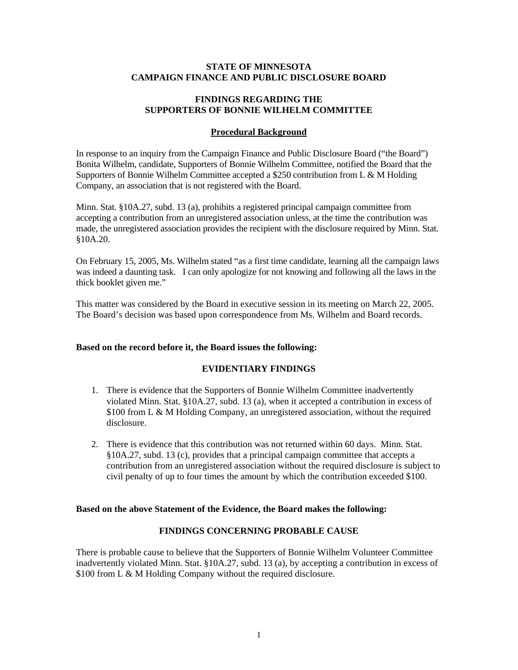### **STATE OF MINNESOTA CAMPAIGN FINANCE AND PUBLIC DISCLOSURE BOARD**

## **FINDINGS REGARDING THE SUPPORTERS OF BONNIE WILHELM COMMITTEE**

### **Procedural Background**

In response to an inquiry from the Campaign Finance and Public Disclosure Board ("the Board") Bonita Wilhelm, candidate, Supporters of Bonnie Wilhelm Committee, notified the Board that the Supporters of Bonnie Wilhelm Committee accepted a \$250 contribution from L & M Holding Company, an association that is not registered with the Board.

Minn. Stat. §10A.27, subd. 13 (a), prohibits a registered principal campaign committee from accepting a contribution from an unregistered association unless, at the time the contribution was made, the unregistered association provides the recipient with the disclosure required by Minn. Stat. §10A.20.

On February 15, 2005, Ms. Wilhelm stated "as a first time candidate, learning all the campaign laws was indeed a daunting task. I can only apologize for not knowing and following all the laws in the thick booklet given me."

This matter was considered by the Board in executive session in its meeting on March 22, 2005. The Board's decision was based upon correspondence from Ms. Wilhelm and Board records.

# **Based on the record before it, the Board issues the following:**

#### **EVIDENTIARY FINDINGS**

- 1. There is evidence that the Supporters of Bonnie Wilhelm Committee inadvertently violated Minn. Stat. §10A.27, subd. 13 (a), when it accepted a contribution in excess of \$100 from L & M Holding Company, an unregistered association, without the required disclosure.
- 2. There is evidence that this contribution was not returned within 60 days. Minn. Stat. §10A.27, subd. 13 (c), provides that a principal campaign committee that accepts a contribution from an unregistered association without the required disclosure is subject to civil penalty of up to four times the amount by which the contribution exceeded \$100.

#### **Based on the above Statement of the Evidence, the Board makes the following:**

# **FINDINGS CONCERNING PROBABLE CAUSE**

There is probable cause to believe that the Supporters of Bonnie Wilhelm Volunteer Committee inadvertently violated Minn. Stat. §10A.27, subd. 13 (a), by accepting a contribution in excess of \$100 from L & M Holding Company without the required disclosure.